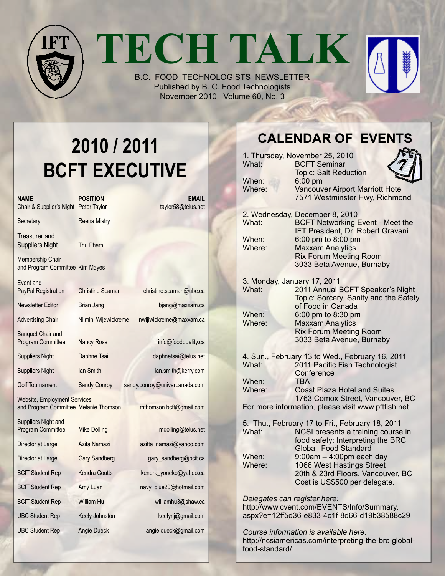

**TECH TALK**

B.C. FOOD TECHNOLOGISTS NEWSLETTER Published by B. C. Food Technologists November 2010 Volume 60, No. 3



# **2010 / 2011 BCFT EXECUTIVE**

| <b>NAME</b>                           | <b>POSITION</b> | <b>EMAIL</b>       |
|---------------------------------------|-----------------|--------------------|
| Chair & Supplier's Night Peter Taylor |                 | taylor58@telus.net |
| Secretary                             | Reena Mistry    |                    |

Treasurer and

Suppliers Night Thu Pham

Membership Chair and Program Committee Kim Mayes

| Event and                                                                    |                      |                               |
|------------------------------------------------------------------------------|----------------------|-------------------------------|
| PayPal Registration                                                          | Christine Scaman     | christine.scaman@ubc.ca       |
| <b>Newsletter Editor</b>                                                     | Brian Jang           | bjang@maxxam.ca               |
| <b>Advertising Chair</b>                                                     | Nilmini Wijewickreme | nwijiwickreme@maxxam.ca       |
| <b>Banquet Chair and</b><br><b>Program Committee</b>                         | Nancy Ross           | info@foodquality.ca           |
| <b>Suppliers Night</b>                                                       | Daphne Tsai          | daphnetsai@telus.net          |
| <b>Suppliers Night</b>                                                       | lan Smith            | ian.smith@kerry.com           |
| <b>Golf Tournament</b>                                                       | <b>Sandy Conroy</b>  | sandy.conroy@univarcanada.com |
| <b>Website, Employment Services</b><br>and Program Committee Melanie Thomson |                      | mthomson.bcft@gmail.com       |
| Suppliers Night and<br><b>Program Committee</b>                              | <b>Mike Dolling</b>  | mdolling@telus.net            |
| Director at Large                                                            | Azita Namazi         | azitta_namazi@yahoo.com       |
| Director at Large                                                            | <b>Gary Sandberg</b> | gary_sandberg@bcit.ca         |
| <b>BCIT Student Rep</b>                                                      | <b>Kendra Coutts</b> | kendra_yoneko@yahoo.ca        |

#### BCIT Student Rep Amy Luan navy\_blue20@hotmail.com BCIT Student Rep William Hu williamhu3@shaw.ca UBC Student Rep Keely Johnston Keelynj@gmail.com

UBC Student Rep Angie Dueck angie.dueck@gmail.com

#### **Calendar Of Events**

| What:<br>When:<br>Where:                                                                                                                                                                                                                                                                                           | 1. Thursday, November 25, 2010<br><b>BCFT Seminar</b><br><b>Topic: Salt Reduction</b><br>$6:00$ pm<br><b>Vancouver Airport Marriott Hotel</b><br>7571 Westminster Hwy, Richmond                                               |  |  |
|--------------------------------------------------------------------------------------------------------------------------------------------------------------------------------------------------------------------------------------------------------------------------------------------------------------------|-------------------------------------------------------------------------------------------------------------------------------------------------------------------------------------------------------------------------------|--|--|
| What:<br>When:<br>Where:                                                                                                                                                                                                                                                                                           | 2. Wednesday, December 8, 2010<br><b>BCFT Networking Event - Meet the</b><br>IFT President, Dr. Robert Gravani<br>6:00 pm to 8:00 pm<br><b>Maxxam Analytics</b><br><b>Rix Forum Meeting Room</b><br>3033 Beta Avenue, Burnaby |  |  |
| 3. Monday, January 17, 2011<br>2011 Annual BCFT Speaker's Night<br>What:<br>Topic: Sorcery, Sanity and the Safety<br>of Food in Canada<br>6:00 pm to 8:30 pm<br>When:<br>Where:<br><b>Maxxam Analytics</b><br><b>Rix Forum Meeting Room</b><br>3033 Beta Avenue, Burnaby                                           |                                                                                                                                                                                                                               |  |  |
| 4. Sun., February 13 to Wed., February 16, 2011<br>2011 Pacific Fish Technologist<br>What:<br>Conference<br><b>TBA</b><br>When:<br>Where:<br><b>Coast Plaza Hotel and Suites</b><br>1763 Comox Street, Vancouver, BC<br>For more information, please visit www.pftfish.net                                         |                                                                                                                                                                                                                               |  |  |
| 5. Thu., February 17 to Fri., February 18, 2011<br>What:<br>NCSI presents a training course in<br>food safety: Interpreting the BRC<br>Global Food Standard<br>$9:00$ am $-4:00$ pm each day<br>When:<br>1066 West Hastings Street<br>Where:<br>20th & 23rd Floors, Vancouver, BC<br>Cost is US\$500 per delegate. |                                                                                                                                                                                                                               |  |  |
| Delegates can register here:<br>http://www.cvent.com/EVENTS/Info/Summary.<br>aspx?e=12ff5d36-e833-4c1f-8d66-d19b38588c29                                                                                                                                                                                           |                                                                                                                                                                                                                               |  |  |

*Course information is available here:*  http://ncsiamericas.com/interpreting-the-brc-globalfood-standard/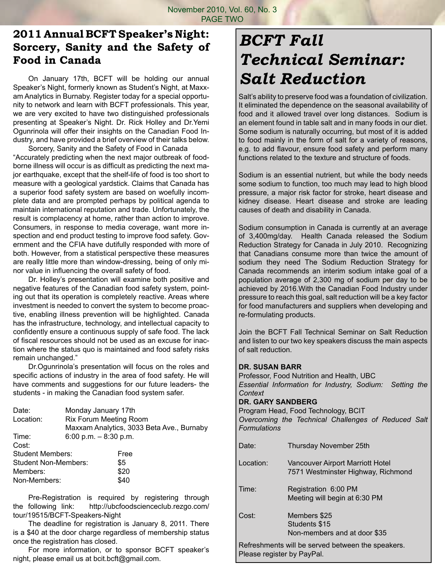#### **2011 Annual BCFT Speaker's Night: Sorcery, Sanity and the Safety of Food in Canada**

On January 17th, BCFT will be holding our annual Speaker's Night, formerly known as Student's Night, at Maxxam Analytics in Burnaby. Register today for a special opportunity to network and learn with BCFT professionals. This year, we are very excited to have two distinguished professionals presenting at Speaker's Night. Dr. Rick Holley and Dr.Yemi Ogunrinola will offer their insights on the Canadian Food Industry, and have provided a brief overview of their talks below.

Sorcery, Sanity and the Safety of Food in Canada "Accurately predicting when the next major outbreak of foodborne illness will occur is as difficult as predicting the next major earthquake, except that the shelf-life of food is too short to measure with a geological yardstick. Claims that Canada has a superior food safety system are based on woefully incomplete data and are prompted perhaps by political agenda to maintain international reputation and trade. Unfortunately, the result is complacency at home, rather than action to improve. Consumers, in response to media coverage, want more inspection and end product testing to improve food safety. Government and the CFIA have dutifully responded with more of both. However, from a statistical perspective these measures are really little more than window-dressing, being of only minor value in influencing the overall safety of food.

Dr. Holley's presentation will examine both positive and negative features of the Canadian food safety system, pointing out that its operation is completely reactive. Areas where investment is needed to convert the system to become proactive, enabling illness prevention will be highlighted. Canada has the infrastructure, technology, and intellectual capacity to confidently ensure a continuous supply of safe food. The lack of fiscal resources should not be used as an excuse for inaction where the status quo is maintained and food safety risks remain unchanged."

Dr.Ogunrinola's presentation will focus on the roles and specific actions of industry in the area of food safety. He will have comments and suggestions for our future leaders- the students - in making the Canadian food system safer.

| Date:                       |                        | Monday January 17th                       |  |
|-----------------------------|------------------------|-------------------------------------------|--|
| Location:                   |                        | <b>Rix Forum Meeting Room</b>             |  |
|                             |                        | Maxxam Analytics, 3033 Beta Ave., Burnaby |  |
| Time:                       | 6:00 p.m. $-8:30$ p.m. |                                           |  |
| Cost:                       |                        |                                           |  |
| <b>Student Members:</b>     |                        | Free                                      |  |
| <b>Student Non-Members:</b> |                        | \$5                                       |  |
| Members:                    |                        | \$20                                      |  |
| Non-Members:                |                        | \$40                                      |  |
|                             |                        |                                           |  |

Pre-Registration is required by registering through the following link: http://ubcfoodscienceclub.rezgo.com/ tour/19515/BCFT-Speakers-Night

The deadline for registration is January 8, 2011. There is a \$40 at the door charge regardless of membership status once the registration has closed.

For more information, or to sponsor BCFT speaker's night, please email us at bcit.bcft@gmail.com.

### *BCFT Fall Technical Seminar: Salt Reduction*

Salt's ability to preserve food was a foundation of civilization. It eliminated the dependence on the seasonal availability of food and it allowed travel over long distances. Sodium is an element found in table salt and in many foods in our diet. Some sodium is naturally occurring, but most of it is added to food mainly in the form of salt for a variety of reasons, e.g. to add flavour, ensure food safety and perform many functions related to the texture and structure of foods.

Sodium is an essential nutrient, but while the body needs some sodium to function, too much may lead to high blood pressure, a major risk factor for stroke, heart disease and kidney disease. Heart disease and stroke are leading causes of death and disability in Canada.

Sodium consumption in Canada is currently at an average of 3,400mg/day. Health Canada released the Sodium Reduction Strategy for Canada in July 2010. Recognizing that Canadians consume more than twice the amount of sodium they need The Sodium Reduction Strategy for Canada recommends an interim sodium intake goal of a population average of 2,300 mg of sodium per day to be achieved by 2016.With the Canadian Food Industry under pressure to reach this goal, salt reduction will be a key factor for food manufacturers and suppliers when developing and re-formulating products.

Join the BCFT Fall Technical Seminar on Salt Reduction and listen to our two key speakers discuss the main aspects of salt reduction.

#### **Dr. Susan Barr**

Professor, Food Nutrition and Health, UBC *Essential Information for Industry, Sodium: Setting the Context*

#### **Dr. Gary Sandberg**

Program Head, Food Technology, BCIT *Overcoming the Technical Challenges of Reduced Salt Formulations*

| Date:                                            | Thursday November 25th                                                        |  |
|--------------------------------------------------|-------------------------------------------------------------------------------|--|
| Location:                                        | <b>Vancouver Airport Marriott Hotel</b><br>7571 Westminster Highway, Richmond |  |
| Time:                                            | Registration 6:00 PM<br>Meeting will begin at 6:30 PM                         |  |
| Cost:                                            | Members \$25<br>Students \$15<br>Non-members and at door \$35                 |  |
| Defreehments will be served between the speakers |                                                                               |  |

Refreshments will be served between the speakers. Please register by PayPal.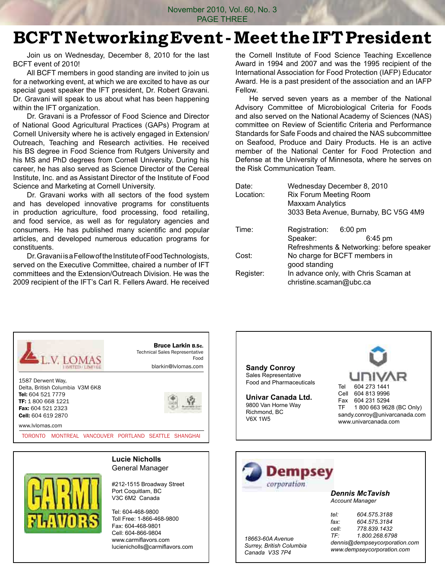### **BCFT Networking Event - Meet the IFT President**

Join us on Wednesday, December 8, 2010 for the last BCFT event of 2010!

All BCFT members in good standing are invited to join us for a networking event, at which we are excited to have as our special guest speaker the IFT president, Dr. Robert Gravani. Dr. Gravani will speak to us about what has been happening within the IFT organization.

Dr. Gravani is a Professor of Food Science and Director of National Good Agricultural Practices (GAPs) Program at Cornell University where he is actively engaged in Extension/ Outreach, Teaching and Research activities. He received his BS degree in Food Science from Rutgers University and his MS and PhD degrees from Cornell University. During his career, he has also served as Science Director of the Cereal Institute, Inc. and as Assistant Director of the Institute of Food Science and Marketing at Cornell University.

Dr. Gravani works with all sectors of the food system and has developed innovative programs for constituents in production agriculture, food processing, food retailing, and food service, as well as for regulatory agencies and consumers. He has published many scientific and popular articles, and developed numerous education programs for constituents.

Dr. Gravani is a Fellow of the Institute of Food Technologists, served on the Executive Committee, chaired a number of IFT committees and the Extension/Outreach Division. He was the 2009 recipient of the IFT's Carl R. Fellers Award. He received the Cornell Institute of Food Science Teaching Excellence Award in 1994 and 2007 and was the 1995 recipient of the International Association for Food Protection (IAFP) Educator Award. He is a past president of the association and an IAFP Fellow.

He served seven years as a member of the National Advisory Committee of Microbiological Criteria for Foods and also served on the National Academy of Sciences (NAS) committee on Review of Scientific Criteria and Performance Standards for Safe Foods and chaired the NAS subcommittee on Seafood, Produce and Dairy Products. He is an active member of the National Center for Food Protection and Defense at the University of Minnesota, where he serves on the Risk Communication Team.

| Date:     | Wednesday December 8, 2010                |  |  |
|-----------|-------------------------------------------|--|--|
| Location: | <b>Rix Forum Meeting Room</b>             |  |  |
|           | <b>Maxxam Analytics</b>                   |  |  |
|           | 3033 Beta Avenue, Burnaby, BC V5G 4M9     |  |  |
| Time:     | Registration: 6:00 pm                     |  |  |
|           | Speaker:<br>$6:45$ pm                     |  |  |
|           | Refreshments & Networking: before speaker |  |  |
| Cost:     | No charge for BCFT members in             |  |  |
|           | good standing                             |  |  |
| Register: | In advance only, with Chris Scaman at     |  |  |
|           | christine.scaman@ubc.ca                   |  |  |





#### **Lucie Nicholls** General Manager

#212-1515 Broadway Street Port Coquitlam, BC V3C 6M2 Canada

Tel: 604-468-9800 Toll Free: 1-866-468-9800 Fax: 604-468-9801 Cell: 604-866-9804 www.carmiflavors.com lucienicholls@carmiflavors.com



*18663-60A Avenue Surrey, British Columbia Canada V3S 7P4*

*Account Manager*

| tel:            | 604.575.3188                  |
|-----------------|-------------------------------|
| fax:            | 604.575.3184                  |
| cell:           | 778.839.1432                  |
| TF <sup>.</sup> | 1 800 268 6798                |
|                 | dennis@dempseycorporation.com |
|                 | www.dempseycorporation.com    |
|                 |                               |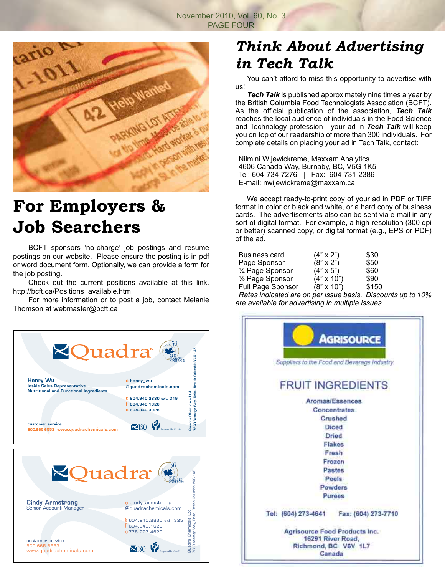

### **For Employers & Job Searchers**

BCFT sponsors 'no-charge' job postings and resume postings on our website. Please ensure the posting is in pdf or word document form. Optionally, we can provide a form for the job posting.

Check out the current positions available at this link. http://bcft.ca/Positions\_available.htm

For more information or to post a job, contact Melanie Thomson at webmaster@bcft.ca



### *Think About Advertising in Tech Talk*

You can't afford to miss this opportunity to advertise with us!

*Tech Talk* is published approximately nine times a year by the British Columbia Food Technologists Association (BCFT). As the official publication of the association, *Tech Talk*  reaches the local audience of individuals in the Food Science and Technology profession - your ad in *Tech Talk* will keep you on top of our readership of more than 300 individuals. For complete details on placing your ad in Tech Talk, contact:

Nilmini Wijewickreme, Maxxam Analytics 4606 Canada Way, Burnaby, BC, V5G 1K5 Tel: 604-734-7276 | Fax: 604-731-2386 E-mail: nwijewickreme@maxxam.ca

We accept ready-to-print copy of your ad in PDF or TIFF format in color or black and white, or a hard copy of business cards. The advertisements also can be sent via e-mail in any sort of digital format. For example, a high-resolution (300 dpi or better) scanned copy, or digital format (e.g., EPS or PDF) of the ad.

| Business card                          | $(4" \times 2")$  | \$30            |
|----------------------------------------|-------------------|-----------------|
| Page Sponsor                           | $(8" \times 2")$  | \$50            |
| 1/4 Page Sponsor                       | $(4" \times 5")$  | \$60            |
| 1/2 Page Sponsor                       | $(4" \times 10")$ | \$90            |
| <b>Full Page Sponsor</b>               | $(8" \times 10")$ | \$150           |
| Pates indicated are an ner issue basis |                   | <b>Diccount</b> |

*Rates indicated are on per issue basis. Discounts up to 10% are available for advertising in multiple issues.*

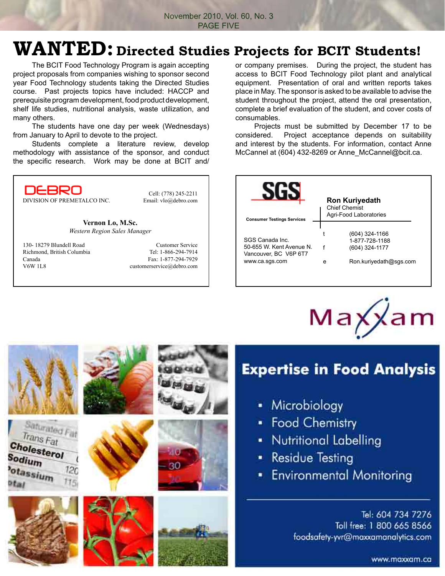## **WANTED: Directed Studies Projects for BCIT Students!**

The BCIT Food Technology Program is again accepting project proposals from companies wishing to sponsor second year Food Technology students taking the Directed Studies course. Past projects topics have included: HACCP and prerequisite program development, food product development, shelf life studies, nutritional analysis, waste utilization, and many others.

The students have one day per week (Wednesdays) from January to April to devote to the project.

Students complete a literature review, develop methodology with assistance of the sponsor, and conduct the specific research. Work may be done at BCIT and/

DEBRO Cell: (778) 245-2211 DIVISION OF PREMETALCO INC. Email: vlo@debro.com **Vernon Lo, M.Sc.** *Western Region Sales Manager*

130- 18279 Blundell Road<br>
Richmond. British Columbia<br>
Tel: 1-866-294-7914 Richmond, British Columbia Canada Fax: 1-877-294-7929 V6W 1L8 customerservice@debro.com

or company premises. During the project, the student has access to BCIT Food Technology pilot plant and analytical equipment. Presentation of oral and written reports takes place in May. The sponsor is asked to be available to advise the student throughout the project, attend the oral presentation, complete a brief evaluation of the student, and cover costs of consumables.

Projects must be submitted by December 17 to be considered. Project acceptance depends on suitability and interest by the students. For information, contact Anne McCannel at (604) 432-8269 or Anne\_McCannel@bcit.ca.

| <b>Consumer Testings Services</b>                                                      | <b>Ron Kuriyedath</b><br><b>Chief Chemist</b><br>Agri-Food Laboratories |                                                                              |
|----------------------------------------------------------------------------------------|-------------------------------------------------------------------------|------------------------------------------------------------------------------|
| SGS Canada Inc.<br>50-655 W. Kent Avenue N.<br>Vancouver, BC V6P 6T7<br>www.ca.sgs.com | e                                                                       | (604) 324-1166<br>1-877-728-1188<br>(604) 324-1177<br>Ron.kuriyedath@sgs.com |



### **Expertise in Food Analysis**

- Microbiology
- Food Chemistry
- Nutritional Labelling
- **Residue Testing**
- **-** Environmental Monitoring

Tel: 604 734 7276 Toll free: 1 800 665 8566 foodsafety-yvr@maxxamanalytics.com

www.maxxam.ca



Trans Fat

 $12<sub>C</sub>$ 

Cholesterol

otassium

Sodium











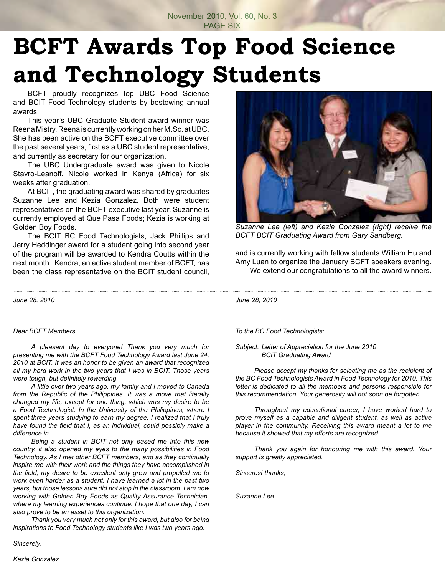#### November 2010, Vol. 60, No. 3 PAGE SIX

# **BCFT Awards Top Food Science and Technology Students**

BCFT proudly recognizes top UBC Food Science and BCIT Food Technology students by bestowing annual awards.

This year's UBC Graduate Student award winner was Reena Mistry. Reena is currently working on her M.Sc. at UBC. She has been active on the BCFT executive committee over the past several years, first as a UBC student representative, and currently as secretary for our organization.

The UBC Undergraduate award was given to Nicole Stavro-Leanoff. Nicole worked in Kenya (Africa) for six weeks after graduation.

At BCIT, the graduating award was shared by graduates Suzanne Lee and Kezia Gonzalez. Both were student representatives on the BCFT executive last year. Suzanne is currently employed at Que Pasa Foods; Kezia is working at Golden Boy Foods.

The BCIT BC Food Technologists, Jack Phillips and Jerry Heddinger award for a student going into second year of the program will be awarded to Kendra Coutts within the next month. Kendra, an active student member of BCFT, has been the class representative on the BCIT student council,

*Suzanne Lee (left) and Kezia Gonzalez (right) receive the BCFT BCIT Graduating Award from Gary Sandberg.*

and is currently working with fellow students William Hu and Amy Luan to organize the January BCFT speakers evening. We extend our congratulations to all the award winners.

*June 28, 2010*

#### *Dear BCFT Members,*

*A pleasant day to everyone! Thank you very much for presenting me with the BCFT Food Technology Award last June 24, 2010 at BCIT. It was an honor to be given an award that recognized all my hard work in the two years that I was in BCIT. Those years were tough, but definitely rewarding.*

*A little over two years ago, my family and I moved to Canada from the Republic of the Philippines. It was a move that literally changed my life, except for one thing, which was my desire to be a Food Technologist. In the University of the Philippines, where I spent three years studying to earn my degree, I realized that I truly have found the field that I, as an individual, could possibly make a difference in.* 

*Being a student in BCIT not only eased me into this new country, it also opened my eyes to the many possibilities in Food Technology. As I met other BCFT members, and as they continually inspire me with their work and the things they have accomplished in the field, my desire to be excellent only grew and propelled me to work even harder as a student. I have learned a lot in the past two years, but those lessons sure did not stop in the classroom. I am now working with Golden Boy Foods as Quality Assurance Technician, where my learning experiences continue. I hope that one day, I can also prove to be an asset to this organization.* 

*Thank you very much not only for this award, but also for being inspirations to Food Technology students like I was two years ago.* 

*June 28, 2010*

*To the BC Food Technologists:*

*Subject: Letter of Appreciation for the June 2010 BCIT Graduating Award*

*Please accept my thanks for selecting me as the recipient of the BC Food Technologists Award in Food Technology for 2010. This letter is dedicated to all the members and persons responsible for this recommendation. Your generosity will not soon be forgotten.*

*Throughout my educational career, I have worked hard to prove myself as a capable and diligent student, as well as active player in the community. Receiving this award meant a lot to me because it showed that my efforts are recognized.*

*Thank you again for honouring me with this award. Your support is greatly appreciated.*

*Sincerest thanks,*

*Suzanne Lee*

*Sincerely,*